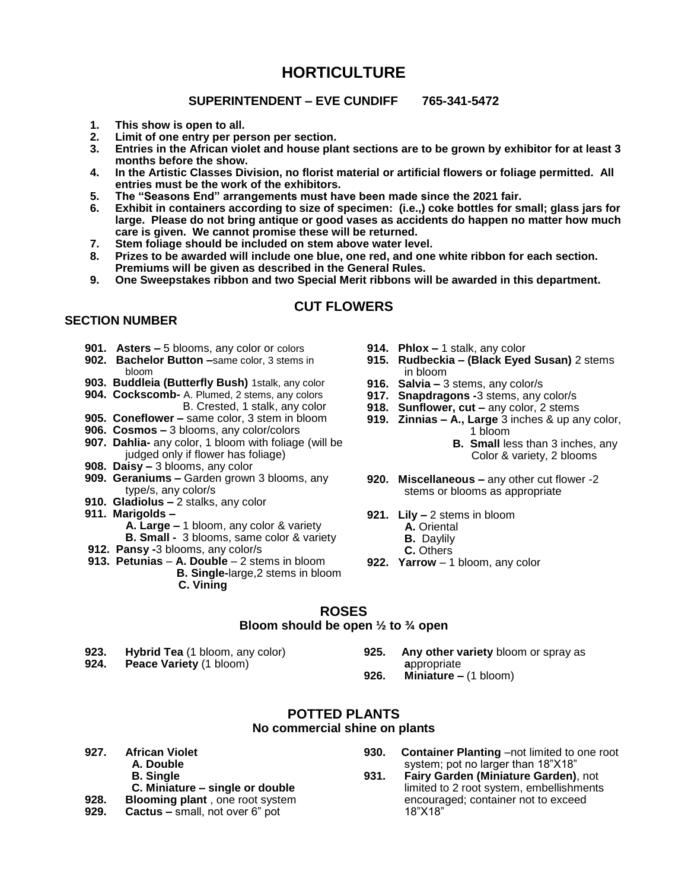# **HORTICULTURE**

### **SUPERINTENDENT – EVE CUNDIFF 765-341-5472**

- **1. This show is open to all.**
- **2. Limit of one entry per person per section.**
- **3. Entries in the African violet and house plant sections are to be grown by exhibitor for at least 3 months before the show.**
- **4. In the Artistic Classes Division, no florist material or artificial flowers or foliage permitted. All entries must be the work of the exhibitors.**
- **5. The "Seasons End" arrangements must have been made since the 2021 fair.**
- **6. Exhibit in containers according to size of specimen: (i.e.,) coke bottles for small; glass jars for large. Please do not bring antique or good vases as accidents do happen no matter how much care is given. We cannot promise these will be returned.**
- **7. Stem foliage should be included on stem above water level.**
- **8. Prizes to be awarded will include one blue, one red, and one white ribbon for each section. Premiums will be given as described in the General Rules.**
- **9. One Sweepstakes ribbon and two Special Merit ribbons will be awarded in this department.**

# **CUT FLOWERS**

#### **SECTION NUMBER**

- **901. Asters –** 5 blooms, any color or colors
- **902. Bachelor Button –**same color, 3 stems in bloom
- **903. Buddleia (Butterfly Bush)** 1stalk, any color
- **904. Cockscomb-** A. Plumed, 2 stems, any colors B. Crested, 1 stalk, any color
- **905. Coneflower –** same color, 3 stem in bloom
- **906. Cosmos –** 3 blooms, any color/colors
- **907. Dahlia-** any color, 1 bloom with foliage (will be judged only if flower has foliage)
- **908. Daisy –** 3 blooms, any color
- **909. Geraniums –** Garden grown 3 blooms, any type/s, any color/s
- **910. Gladiolus –** 2 stalks, any color
- **911. Marigolds –**
	- **A. Large –** 1 bloom, any color & variety **B. Small -** 3 blooms, same color & variety
- **912. Pansy -**3 blooms, any color/s
- **913. Petunias A. Double**  2 stems in bloom
	- **B. Single-**large,2 stems in bloom **C. Vining**
- **914. Phlox –** 1 stalk, any color
- **915. Rudbeckia – (Black Eyed Susan)** 2 stems in bloom
- **916. Salvia –** 3 stems, any color/s
- **917. Snapdragons -**3 stems, any color/s
- **918. Sunflower, cut –** any color, 2 stems
- **919. Zinnias – A., Large** 3 inches & up any color, 1 bloom
	- **B. Small** less than 3 inches, any Color & variety, 2 blooms
- **920. Miscellaneous –** any other cut flower -2 stems or blooms as appropriate
- **921. Lily –** 2 stems in bloom
	- **A.** Oriental
	- **B.** Daylily
	- **C.** Others
- **922. Yarrow** 1 bloom, any color
- **ROSES**

#### **Bloom should be open ½ to ¾ open**

- **923. Hybrid Tea** (1 bloom, any color)
- **Peace Variety** (1 bloom)
- **925. Any other variety** bloom or spray as **a**ppropriate
- **926. Miniature –** (1 bloom)

#### **POTTED PLANTS No commercial shine on plants**

**927. African Violet**

- **A. Double**
	- **B. Single**
- **C. Miniature single or double**<br>**928. Blooming plant**, one root system
- **928. Blooming plant** , one root system
- **929. Cactus –** small, not over 6" pot
- **930. Container Planting** –not limited to one root system; pot no larger than 18"X18"
- **931. Fairy Garden (Miniature Garden)**, not limited to 2 root system, embellishments encouraged; container not to exceed 18"X18"